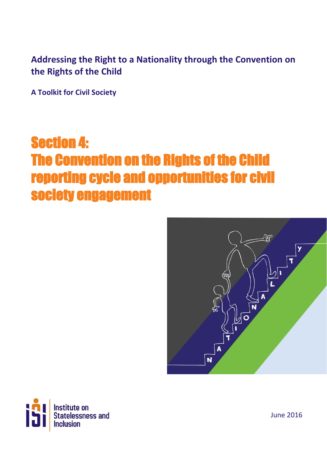## **Addressing the Right to a Nationality through the Convention on the Rights of the Child**

**A Toolkit for Civil Society**

# Section 4: The Convention on the Rights of the Child reporting cycle and opportunities for civil society engagement





June 2016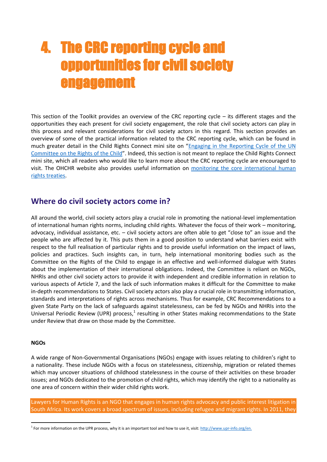## 4. The CRC reporting cycle and opportunities for civil society engagement

This section of the Toolkit provides an overview of the CRC reporting cycle – its different stages and the opportunities they each present for civil society engagement, the role that civil society actors can play in this process and relevant considerations for civil society actors in this regard. This section provides an overview of some of the practical information related to the CRC reporting cycle, which can be found in much greater detail in the Child Rights Connect mini site on "Engaging in the [Reporting](http://crcreporting.childrightsconnect.org/) Cycle of the UN [Committee](http://crcreporting.childrightsconnect.org/) on the Rights of the Child". Indeed, this section is not meant to replace the Child Rights Connect mini site, which all readers who would like to learn more about the CRC reporting cycle are encouraged to visit. The OHCHR website also provides useful information on monitoring the core [international](http://www.ohchr.org/EN/HRBodies/Pages/WhatTBDo.aspx) human rights [treaties.](http://www.ohchr.org/EN/HRBodies/Pages/WhatTBDo.aspx)

## **Where do civil society actors come in?**

All around the world, civil society actors play a crucial role in promoting the national-level implementation of international human rights norms, including child rights. Whatever the focus of their work – monitoring, advocacy, individual assistance, etc. – civil society actors are often able to get "close to" an issue and the people who are affected by it. This puts them in a good position to understand what barriers exist with respect to the full realisation of particular rights and to provide useful information on the impact of laws, policies and practices. Such insights can, in turn, help international monitoring bodies such as the Committee on the Rights of the Child to engage in an effective and well-informed dialogue with States about the implementation of their international obligations. Indeed, the Committee is reliant on NGOs, NHRIs and other civil society actors to provide it with independent and credible information in relation to various aspects of Article 7, and the lack of such information makes it difficult for the Committee to make in-depth recommendations to States. Civil society actors also play a crucial role in transmitting information, standards and interpretations of rights across mechanisms. Thus for example, CRC Recommendations to a given State Party on the lack of safeguards against statelessness, can be fed by NGOs and NHRIs into the Universal Periodic Review (UPR) process,<sup>1</sup> resulting in other States making recommendations to the State under Review that draw on those made by the Committee.

#### **NGOs**

1

A wide range of Non-Governmental Organisations (NGOs) engage with issues relating to children's right to a nationality. These include NGOs with a focus on statelessness, citizenship, migration or related themes which may uncover situations of childhood statelessness in the course of their activities on these broader issues; and NGOs dedicated to the promotion of child rights, which may identify the right to a nationality as one area of concern within their wider child rights work.

Lawyers for Human Rights is an NGO that engages in human rights advocacy and public interest litigation in South Africa. Its work covers a broad spectrum of issues, including refugee and migrant rights. In 2011, they

<sup>&</sup>lt;sup>1</sup> For more information on the UPR process, why it is an important tool and how to use it, visit: [http://www.upr-info.org/en.](http://www.upr-info.org/en)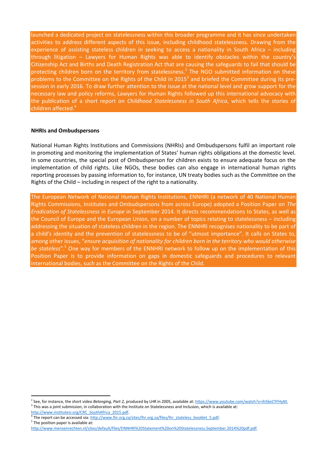launched a dedicated project on statelessness within this broader programme and it has since undertaken activities to address different aspects of this issue, including childhood statelessness. Drawing from the experience of assisting stateless children in seeking to access a nationality in South Africa – including through litigation – Lawyers for Human Rights was able to identify obstacles within the country's Citizenship Act and Births and Death Registration Act that are causing the safeguards to fail that should be protecting children born on the territory from statelessness.<sup>2</sup> The NGO submitted information on these problems to the Committee on the Rights of the Child in 2015<sup>3</sup> and briefed the Committee during its presession in early 2016. To draw further attention to the issue at the national level and grow support for the necessary law and policy reforms, Lawyers for Human Rights followed up this international advocacy with the publication of a short report on *Childhood Statelessness in South Africa*, which tells the stories of children affected.<sup>4</sup>

#### **NHRIs and Ombudspersons**

National Human Rights Institutions and Commissions (NHRIs) and Ombudspersons fulfil an important role in promoting and monitoring the implementation of States' human rights obligations at the domestic level. In some countries, the special post of Ombudsperson for children exists to ensure adequate focus on the implementation of child rights. Like NGOs, these bodies can also engage in international human rights reporting processes by passing information to, for instance, UN treaty bodies such as the Committee on the Rights of the Child – including in respect of the right to a nationality.

The European Network of National Human Rights Institutions, ENNHRI (a network of 40 National Human Rights Commissions, Institutes and Ombudspersons from across Europe) adopted a Position Paper on *The Eradication of Statelessness in Europe* in September 2014. It directs recommendations to States, as well as the Council of Europe and the European Union, on a number of topics relating to statelessness – including addressing the situation of stateless children in the region. The ENNHRI recognises nationality to be part of a child's identity and the prevention of statelessness to be of "utmost importance". It calls on States to, among other issues, "*ensure acquisition of nationality for children born in the territory who would otherwise be stateless*".<sup>5</sup> One way for members of the ENNHRI network to follow up on the implementation of this Position Paper is to provide information on gaps in domestic safeguards and procedures to relevant international bodies, such as the Committee on the Rights of the Child.

**.** 

<sup>2</sup> See, for instance, the short video *Belonging, Part 2,* produced by LHR in 2005, available at[: https://www.youtube.com/watch?v=ih5keCYFHyM.](https://www.youtube.com/watch?v=ih5keCYFHyM)  $3$  This was a joint submission, in collaboration with the Institute on Statelessness and Inclusion, which is available at:

http://www.institutesi.org/CRC\_SouthAfrica\_2015.pdf.

The report can be accessed via: http://www.lhr.org.za/sites/lhr.org.za/files/lhr\_stateless\_booklet\_5.pdf.

<sup>&</sup>lt;sup>5</sup> The position paper is available at:

[http://www.mensenrechten.nl/sites/default/files/ENNHRI%20Statement%20on%20Statelessness.September.2014%20pdf.pdf.](http://www.mensenrechten.nl/sites/default/files/ENNHRI%20Statement%20on%20Statelessness.September.2014%20pdf.pdf)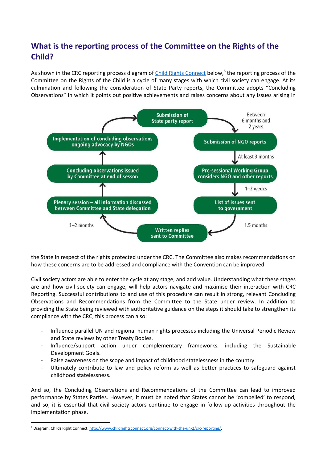## **What is the reporting process of the Committee on the Rights of the Child?**

As shown in the CRC reporting process diagram of *Child Rights Connect* below,<sup>6</sup> the reporting process of the Committee on the Rights of the Child is a cycle of many stages with which civil society can engage. At its culmination and following the consideration of State Party reports, the Committee adopts "Concluding Observations" in which it points out positive achievements and raises concerns about any issues arising in



the State in respect of the rights protected under the CRC. The Committee also makes recommendations on how these concerns are to be addressed and compliance with the Convention can be improved.

Civil society actors are able to enter the cycle at any stage, and add value. Understanding what these stages are and how civil society can engage, will help actors navigate and maximise their interaction with CRC Reporting. Successful contributions to and use of this procedure can result in strong, relevant Concluding Observations and Recommendations from the Committee to the State under review. In addition to providing the State being reviewed with authoritative guidance on the steps it should take to strengthen its compliance with the CRC, this process can also:

- Influence parallel UN and regional human rights processes including the Universal Periodic Review and State reviews by other Treaty Bodies.
- Influence/support action under complementary frameworks, including the Sustainable Development Goals.
- Raise awareness on the scope and impact of childhood statelessness in the country.
- Ultimately contribute to law and policy reform as well as better practices to safeguard against childhood statelessness.

And so, the Concluding Observations and Recommendations of the Committee can lead to improved performance by States Parties. However, it must be noted that States cannot be 'compelled' to respond, and so, it is essential that civil society actors continue to engage in follow-up activities throughout the implementation phase.

1

<sup>&</sup>lt;sup>6</sup> Diagram: Childs Right Connect, http://www.childrightsconnect.org/connect-with-the-un-2/crc-reporting/.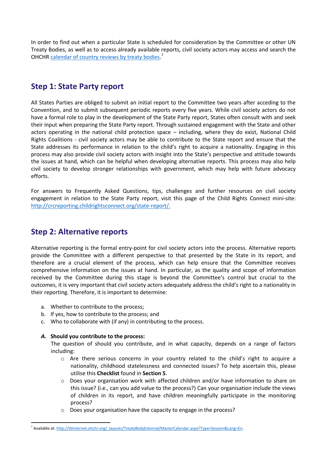In order to find out when a particular State is scheduled for consideration by the Committee or other UN Treaty Bodies, as well as to access already available reports, civil society actors may access and search the OHCHR [calendar of country reviews by treaty bodies.](http://tbinternet.ohchr.org/_layouts/TreatyBodyExternal/MasterCalendar.aspx?Type=Session&Lang=En)<sup>7</sup>

## **Step 1: State Party report**

All States Parties are obliged to submit an initial report to the Committee two years after acceding to the Convention, and to submit subsequent periodic reports every five years. While civil society actors do not have a formal role to play in the development of the State Party report, States often consult with and seek their input when preparing the State Party report. Through sustained engagement with the State and other actors operating in the national child protection space – including, where they do exist, National Child Rights Coalitions - civil society actors may be able to contribute to the State report and ensure that the State addresses its performance in relation to the child's right to acquire a nationality. Engaging in this process may also provide civil society actors with insight into the State's perspective and attitude towards the issues at hand, which can be helpful when developing alternative reports. This process may also help civil society to develop stronger relationships with government, which may help with future advocacy efforts.

For answers to Frequently Asked Questions, tips, challenges and further resources on civil society engagement in relation to the State Party report, visit this page of the Child Rights Connect mini-site: [http://crcreporting.childrightsconnect.org/state-report/.](http://crcreporting.childrightsconnect.org/state-report/)

## **Step 2: Alternative reports**

Alternative reporting is the formal entry-point for civil society actors into the process. Alternative reports provide the Committee with a different perspective to that presented by the State in its report, and therefore are a crucial element of the process, which can help ensure that the Committee receives comprehensive information on the issues at hand. In particular, as the quality and scope of information received by the Committee during this stage is beyond the Committee's control but crucial to the outcomes, it is very important that civil society actors adequately address the child's right to a nationality in their reporting. Therefore, it is important to determine:

- a. Whether to contribute to the process;
- b. If yes, how to contribute to the process; and
- c. Who to collaborate with (if any) in contributing to the process.

#### *A.* **Should you contribute to the process:**

1

The question of should you contribute, and in what capacity, depends on a range of factors including:

- $\circ$  Are there serious concerns in your country related to the child's right to acquire a nationality, childhood statelessness and connected issues? To help ascertain this, please utilise this **Checklist** found in **Section 5**.
- o Does your organisation work with affected children and/or have information to share on this issue? (i.e., can you add value to the process?) Can your organisation include the views of children in its report, and have children meaningfully participate in the monitoring process?
- o Does your organisation have the capacity to engage in the process?

<sup>&</sup>lt;sup>7</sup> Available at: http://tbinternet.ohchr.org/\_layouts/TreatyBodyExternal/MasterCalendar.aspx?Type=Session&Lang=En.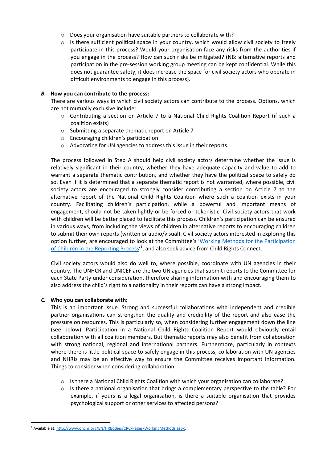- o Does your organisation have suitable partners to collaborate with?
- o Is there sufficient political space in your country, which would allow civil society to freely participate in this process? Would your organisation face any risks from the authorities if you engage in the process? How can such risks be mitigated? (NB: alternative reports and participation in the pre-session working group meeting can be kept confidential. While this does not guarantee safety, it does increase the space for civil society actors who operate in difficult environments to engage in this process).

#### *B.* **How you can contribute to the process:**

There are various ways in which civil society actors can contribute to the process. Options, which are not mutually exclusive include:

- o Contributing a section on Article 7 to a National Child Rights Coalition Report (if such a coalition exists)
- o Submitting a separate thematic report on Article 7
- o Encouraging children's participation
- o Advocating for UN agencies to address this issue in their reports

The process followed in Step A should help civil society actors determine whether the issue is relatively significant in their country, whether they have adequate capacity and value to add to warrant a separate thematic contribution, and whether they have the political space to safely do so. Even if it is determined that a separate thematic report is not warranted, where possible, civil society actors are encouraged to strongly consider contributing a section on Article 7 to the alternative report of the National Child Rights Coalition where such a coalition exists in your country. Facilitating children's participation, while a powerful and important means of engagement, should not be taken lightly or be forced or tokenistic. Civil society actors that work with children will be better placed to facilitate this process. Children's participation can be ensured in various ways, from including the views of children in alternative reports to encouraging children to submit their own reports (written or audio/visual). Civil society actors interested in exploring this option further, are encouraged to look at the Committee's '[Working Methods for the Participation](http://www.ohchr.org/EN/HRBodies/CRC/Pages/WorkingMethods.aspx)  [of Children in the Reporting Process](http://www.ohchr.org/EN/HRBodies/CRC/Pages/WorkingMethods.aspx)<sup>,8</sup>, and also seek advice from Child Rights Connect.

Civil society actors would also do well to, where possible, coordinate with UN agencies in their country. The UNHCR and UNICEF are the two UN agencies that submit reports to the Committee for each State Party under consideration, therefore sharing information with and encouraging them to also address the child's right to a nationality in their reports can have a strong impact.

#### *C.* **Who you can collaborate with:**

1

This is an important issue. Strong and successful collaborations with independent and credible partner organisations can strengthen the quality and credibility of the report and also ease the pressure on resources. This is particularly so, when considering further engagement down the line (see below). Participation in a National Child Rights Coalition Report would obviously entail collaboration with all coalition members. But thematic reports may also benefit from collaboration with strong national, regional and international partners. Furthermore, particularly in contexts where there is little political space to safely engage in this process, collaboration with UN agencies and NHRIs may be an effective way to ensure the Committee receives important information. Things to consider when considering collaboration:

- $\circ$  Is there a National Child Rights Coalition with which your organisation can collaborate?
- o Is there a national organisation that brings a complementary perspective to the table? For example, if yours is a legal organisation, is there a suitable organisation that provides psychological support or other services to affected persons?

<sup>&</sup>lt;sup>8</sup> Available at: http://www.ohchr.org/EN/HRBodies/CRC/Pages/WorkingMethods.aspx.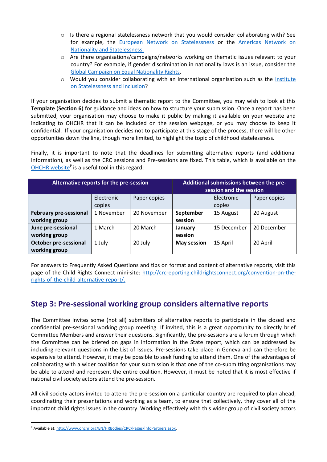- $\circ$  Is there a regional statelessness network that you would consider collaborating with? See for example, the [European Network on Statelessness](http://www.statelessness.eu/) or the [Americas Network on](http://www.americasns.org/)  [Nationality and Statelessness.](http://www.americasns.org/)
- o Are there organisations/campaigns/networks working on thematic issues relevant to your country? For example, if gender discrimination in nationality laws is an issue, consider the [Global Campaign on Equal Nationality Rights.](http://www.equalnationalityrights.org/)
- $\circ$  Would you consider collaborating with an international organisation such as the Institute [on Statelessness and Inclusion?](http://www.institutesi.org/)

If your organisation decides to submit a thematic report to the Committee, you may wish to look at this **Template** (**Section 6**) for guidance and ideas on how to structure your submission. Once a report has been submitted, your organisation may choose to make it public by making it available on your website and indicating to OHCHR that it can be included on the session webpage, or you may choose to keep it confidential. If your organisation decides not to participate at this stage of the process, there will be other opportunities down the line, though more limited, to highlight the topic of childhood statelessness.

Finally, it is important to note that the deadlines for submitting alternative reports (and additional information), as well as the CRC sessions and Pre-sessions are fixed. This table, which is available on the [OHCHR website](http://www.ohchr.org/EN/HRBodies/CRC/Pages/InfoPartners.aspx)<sup>9</sup> is a useful tool in this regard:

| Alternative reports for the pre-session        |                      |              | Additional submissions between the pre-<br>session and the session |                      |              |
|------------------------------------------------|----------------------|--------------|--------------------------------------------------------------------|----------------------|--------------|
|                                                | Electronic<br>copies | Paper copies |                                                                    | Electronic<br>copies | Paper copies |
| <b>February pre-sessional</b><br>working group | 1 November           | 20 November  | September<br>session                                               | 15 August            | 20 August    |
| June pre-sessional<br>working group            | 1 March              | 20 March     | January<br>session                                                 | 15 December          | 20 December  |
| <b>October pre-sessional</b><br>working group  | 1 July               | 20 July      | <b>May session</b>                                                 | 15 April             | 20 April     |

For answers to Frequently Asked Questions and tips on format and content of alternative reports, visit this page of the Child Rights Connect mini-site: [http://crcreporting.childrightsconnect.org/convention-on-the](http://crcreporting.childrightsconnect.org/convention-on-the-rights-of-the-child-alternative-report/)[rights-of-the-child-alternative-report/.](http://crcreporting.childrightsconnect.org/convention-on-the-rights-of-the-child-alternative-report/)

## **Step 3: Pre-sessional working group considers alternative reports**

The Committee invites some (not all) submitters of alternative reports to participate in the closed and confidential pre-sessional working group meeting. If invited, this is a great opportunity to directly brief Committee Members and answer their questions. Significantly, the pre-sessions are a forum through which the Committee can be briefed on gaps in information in the State report, which can be addressed by including relevant questions in the List of Issues. Pre-sessions take place in Geneva and can therefore be expensive to attend. However, it may be possible to seek funding to attend them. One of the advantages of collaborating with a wider coalition for your submission is that one of the co-submitting organisations may be able to attend and represent the entire coalition. However, it must be noted that it is most effective if national civil society actors attend the pre-session.

All civil society actors invited to attend the pre-session on a particular country are required to plan ahead, coordinating their presentations and working as a team, to ensure that collectively, they cover all of the important child rights issues in the country. Working effectively with this wider group of civil society actors

<sup>1</sup> <sup>9</sup> Available at: [http://www.ohchr.org/EN/HRBodies/CRC/Pages/InfoPartners.aspx.](http://www.ohchr.org/EN/HRBodies/CRC/Pages/InfoPartners.aspx)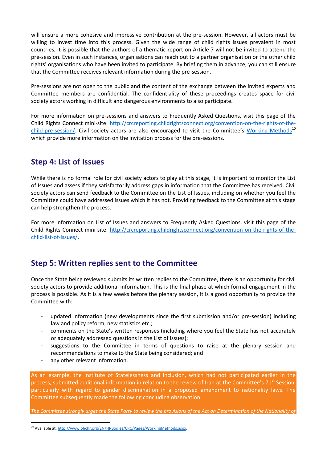will ensure a more cohesive and impressive contribution at the pre-session. However, all actors must be willing to invest time into this process. Given the wide range of child rights issues prevalent in most countries, it is possible that the authors of a thematic report on Article 7 will not be invited to attend the pre-session. Even in such instances, organisations can reach out to a partner organisation or the other child rights' organisations who have been invited to participate. By briefing them in advance, you can still ensure that the Committee receives relevant information during the pre-session.

Pre-sessions are not open to the public and the content of the exchange between the invited experts and Committee members are confidential. The confidentiality of these proceedings creates space for civil society actors working in difficult and dangerous environments to also participate.

For more information on pre-sessions and answers to Frequently Asked Questions, visit this page of the Child Rights Connect mini-site: [http://crcreporting.childrightsconnect.org/convention-on-the-rights-of-the](http://crcreporting.childrightsconnect.org/convention-on-the-rights-of-the-child-pre-session/)[child-pre-session/.](http://crcreporting.childrightsconnect.org/convention-on-the-rights-of-the-child-pre-session/) Civil society actors are also encouraged to visit the Committee's [Working Methods](http://www.ohchr.org/EN/HRBodies/CRC/Pages/WorkingMethods.aspx)<sup>10</sup> which provide more information on the invitation process for the pre-sessions.

## **Step 4: List of Issues**

While there is no formal role for civil society actors to play at this stage, it is important to monitor the List of Issues and assess if they satisfactorily address gaps in information that the Committee has received. Civil society actors can send feedback to the Committee on the List of Issues, including on whether you feel the Committee could have addressed issues which it has not. Providing feedback to the Committee at this stage can help strengthen the process.

For more information on List of Issues and answers to Frequently Asked Questions, visit this page of the Child Rights Connect mini-site: [http://crcreporting.childrightsconnect.org/convention-on-the-rights-of-the](http://crcreporting.childrightsconnect.org/convention-on-the-rights-of-the-child-list-of-issues/)[child-list-of-issues/.](http://crcreporting.childrightsconnect.org/convention-on-the-rights-of-the-child-list-of-issues/)

## **Step 5: Written replies sent to the Committee**

Once the State being reviewed submits its written replies to the Committee, there is an opportunity for civil society actors to provide additional information. This is the final phase at which formal engagement in the process is possible. As it is a few weeks before the plenary session, it is a good opportunity to provide the Committee with:

- updated information (new developments since the first submission and/or pre-session) including law and policy reform, new statistics etc.;
- comments on the State's written responses (including where you feel the State has not accurately or adequately addressed questions in the List of Issues);
- suggestions to the Committee in terms of questions to raise at the plenary session and recommendations to make to the State being considered; and
- any other relevant information.

1

As an example, the Institute of Statelessness and Inclusion, which had not participated earlier in the process, submitted additional information in relation to the review of Iran at the Committee's  $71^{st}$  Session, particularly with regard to gender discrimination in a proposed amendment to nationality laws. The Committee subsequently made the following concluding observation:

The Committee strongly urges the State Party to review the provisions of the Act on Determination of the Nationality of

<sup>&</sup>lt;sup>10</sup> Available at[: http://www.ohchr.org/EN/HRBodies/CRC/Pages/WorkingMethods.aspx.](http://www.ohchr.org/EN/HRBodies/CRC/Pages/WorkingMethods.aspx)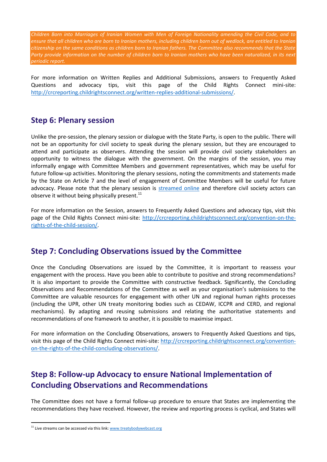*Children Born into Marriages of Iranian Women with Men of Foreign Nationality amending the Civil Code, and to ensure that all children who are born to Iranian mothers, including children born out of wedlock, are entitled to Iranian citizenship on the same conditions as children born to Iranian fathers. The Committee also recommends that the State*  Party provide information on the number of children born to Iranian mothers who have been naturalized, in its next *periodic report.*

For more information on Written Replies and Additional Submissions, answers to Frequently Asked Questions and advocacy tips, visit this page of the Child Rights Connect mini-site: [http://crcreporting.childrightsconnect.org/written-replies-additional-submissions/.](http://crcreporting.childrightsconnect.org/written-replies-additional-submissions/)

### **Step 6: Plenary session**

Unlike the pre-session, the plenary session or dialogue with the State Party, is open to the public. There will not be an opportunity for civil society to speak during the plenary session, but they are encouraged to attend and participate as observers. Attending the session will provide civil society stakeholders an opportunity to witness the dialogue with the government. On the margins of the session, you may informally engage with Committee Members and government representatives, which may be useful for future follow-up activities. Monitoring the plenary sessions, noting the commitments and statements made by the State on Article 7 and the level of engagement of Committee Members will be useful for future advocacy. Please note that the plenary session is [streamed online](http://www.treatybodywebcast.org/) and therefore civil society actors can observe it without being physically present. $^{11}$ 

For more information on the Session, answers to Frequently Asked Questions and advocacy tips, visit this page of the Child Rights Connect mini-site: [http://crcreporting.childrightsconnect.org/convention-on-the](http://crcreporting.childrightsconnect.org/convention-on-the-rights-of-the-child-session/)[rights-of-the-child-session/.](http://crcreporting.childrightsconnect.org/convention-on-the-rights-of-the-child-session/)

### **Step 7: Concluding Observations issued by the Committee**

Once the Concluding Observations are issued by the Committee, it is important to reassess your engagement with the process. Have you been able to contribute to positive and strong recommendations? It is also important to provide the Committee with constructive feedback. Significantly, the Concluding Observations and Recommendations of the Committee as well as your organisation's submissions to the Committee are valuable resources for engagement with other UN and regional human rights processes (including the UPR, other UN treaty monitoring bodies such as CEDAW, ICCPR and CERD, and regional mechanisms). By adapting and reusing submissions and relating the authoritative statements and recommendations of one framework to another, it is possible to maximise impact.

For more information on the Concluding Observations, answers to Frequently Asked Questions and tips, visit this page of the Child Rights Connect mini-site: [http://crcreporting.childrightsconnect.org/convention](http://crcreporting.childrightsconnect.org/convention-on-the-rights-of-the-child-concluding-observations/)[on-the-rights-of-the-child-concluding-observations/.](http://crcreporting.childrightsconnect.org/convention-on-the-rights-of-the-child-concluding-observations/)

## **Step 8: Follow-up Advocacy to ensure National Implementation of Concluding Observations and Recommendations**

The Committee does not have a formal follow-up procedure to ensure that States are implementing the recommendations they have received. However, the review and reporting process is cyclical, and States will

1

 $11$  Live streams can be accessed via this link:  $www.treatybodywebcast.org$